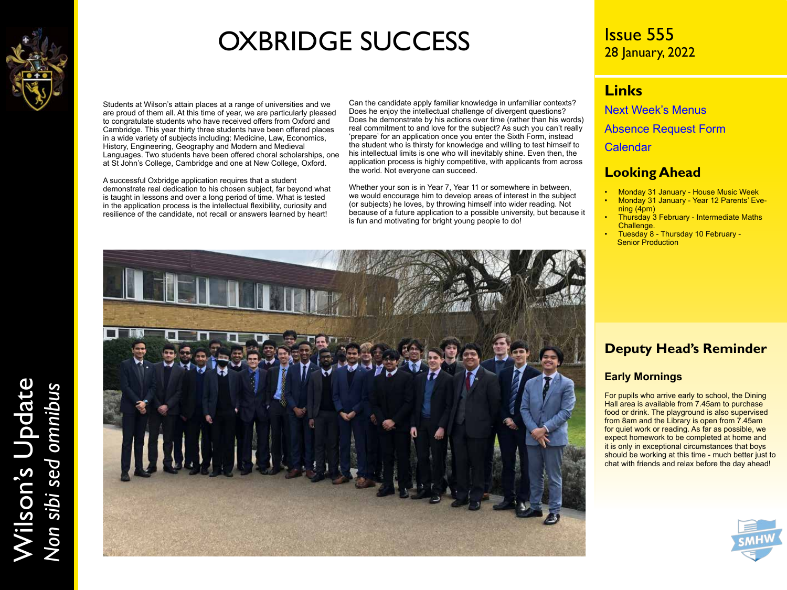

## OXBRIDGE SUCCESS

Students at Wilson's attain places at a range of universities and we are proud of them all. At this time of year, we are particularly pleased to congratulate students who have received offers from Oxford and Cambridge. This year thirty three students have been offered places in a wide variety of subjects including: Medicine, Law, Economics, History, Engineering, Geography and Modern and Medieval Languages. Two students have been offered choral scholarships, one at St John's College, Cambridge and one at New College, Oxford.

A successful Oxbridge application requires that a student demonstrate real dedication to his chosen subject, far beyond what is taught in lessons and over a long period of time. What is tested in the application process is the intellectual flexibility, curiosity and resilience of the candidate, not recall or answers learned by heart!

Can the candidate apply familiar knowledge in unfamiliar contexts? Does he enjoy the intellectual challenge of divergent questions? Does he demonstrate by his actions over time (rather than his words) real commitment to and love for the subject? As such you can't really 'prepare' for an application once you enter the Sixth Form, instead the student who is thirsty for knowledge and willing to test himself to his intellectual limits is one who will inevitably shine. Even then, the application process is highly competitive, with applicants from across the world. Not everyone can succeed.

Whether your son is in Year 7, Year 11 or somewhere in between, we would encourage him to develop areas of interest in the subject (or subjects) he loves, by throwing himself into wider reading. Not because of a future application to a possible university, but because it is fun and motivating for bright young people to do!



### Issue 555 28 January, 2022

### **Links**

[Next Week's Menus](https://www.wilsons.school/resources/Menus.pdf)

[Absence Request Form](http://www.wilsons.school/resources/Leave-of-Absence-Form.pdf)

**[Calendar](https://www.wilsons.school/calendar/)** 

### **Looking Ahead**

- Monday 31 January House Music Week
- Monday 31 January Year 12 Parents' Evening (4pm)
- Thursday 3 February Intermediate Maths Challenge.
- Tuesday 8 Thursday 10 February Senior Production

### **Deputy Head's Reminder**

### **Early Mornings**

For pupils who arrive early to school, the Dining Hall area is available from 7.45am to purchase food or drink. The playground is also supervised from 8am and the Library is open from 7.45am for quiet work or reading. As far as possible, we expect homework to be completed at home and it is only in exceptional circumstances that boys should be working at this time - much better just to chat with friends and relax before the day ahead!



Wilson's Update Wilson's Update<br>Non sibi sed omnibus *Non sibi sed omnibus*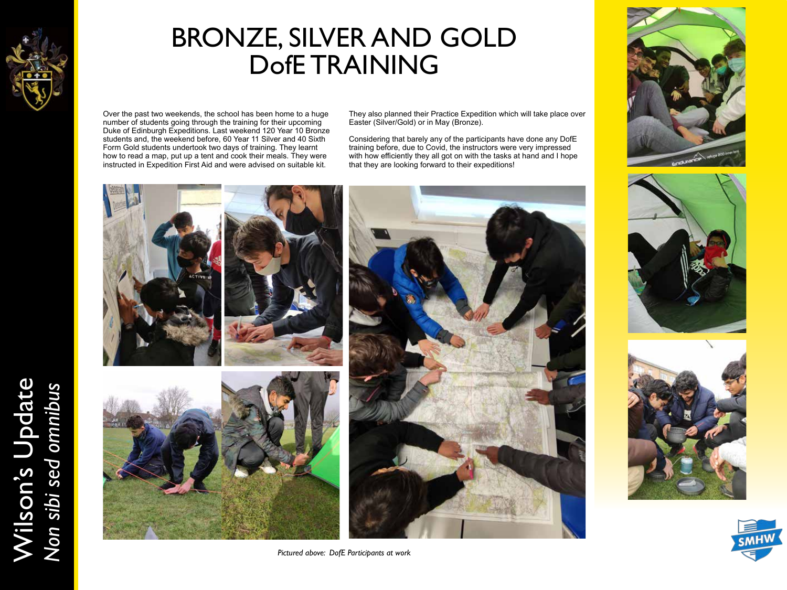

Wilson's Update

Wilson's Update<br>Non sibi sed omnibus

*Non sibi sed omnibus*

## BRONZE, SILVER AND GOLD DofE TRAINING

Over the past two weekends, the school has been home to a huge number of students going through the training for their upcoming Duke of Edinburgh Expeditions. Last weekend 120 Year 10 Bronze students and, the weekend before, 60 Year 11 Silver and 40 Sixth Form Gold students undertook two days of training. They learnt how to read a map, put up a tent and cook their meals. They were instructed in Expedition First Aid and were advised on suitable kit.

They also planned their Practice Expedition which will take place over Easter (Silver/Gold) or in May (Bronze).

Considering that barely any of the participants have done any DofE training before, due to Covid, the instructors were very impressed with how efficiently they all got on with the tasks at hand and I hope that they are looking forward to their expeditions!



*Pictured above: DofE Participants at work*







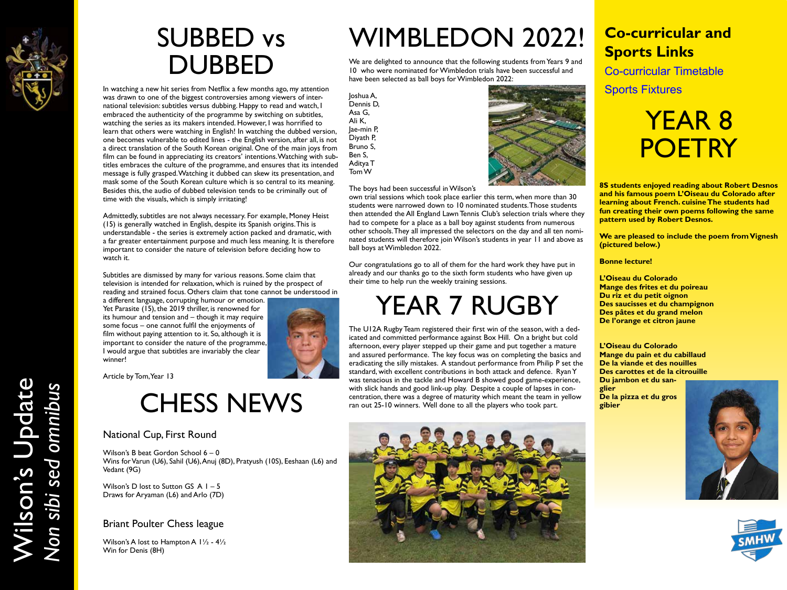

Wilson's Update

Wilson's Update<br>Non sibi sed omnibus

*Non sibi sed omnibus*

### SUBBED vs DUBBED

In watching a new hit series from Netflix a few months ago, my attention was drawn to one of the biggest controversies among viewers of international television: subtitles versus dubbing. Happy to read and watch, I embraced the authenticity of the programme by switching on subtitles, watching the series as its makers intended. However, I was horrified to learn that others were watching in English! In watching the dubbed version, one becomes vulnerable to edited lines - the English version, after all, is not a direct translation of the South Korean original. One of the main joys from film can be found in appreciating its creators' intentions. Watching with subtitles embraces the culture of the programme, and ensures that its intended message is fully grasped. Watching it dubbed can skew its presentation, and mask some of the South Korean culture which is so central to its meaning. Besides this, the audio of dubbed television tends to be criminally out of time with the visuals, which is simply irritating!

Admittedly, subtitles are not always necessary. For example, Money Heist (15) is generally watched in English, despite its Spanish origins. This is understandable - the series is extremely action packed and dramatic, with a far greater entertainment purpose and much less meaning. It is therefore important to consider the nature of television before deciding how to watch it.

Subtitles are dismissed by many for various reasons. Some claim that television is intended for relaxation, which is ruined by the prospect of reading and strained focus. Others claim that tone cannot be understood in

a different language, corrupting humour or emotion. Yet Parasite (15), the 2019 thriller, is renowned for its humour and tension and – though it may require some focus – one cannot fulfil the enjoyments of film without paying attention to it. So, although it is important to consider the nature of the programme, I would argue that subtitles are invariably the clear winner!

Article by Tom, Year 13

## CHESS NEWS

#### National Cup, First Round

Wilson's B beat Gordon School 6 – 0 Wins for Varun (U6), Sahil (U6), Anuj (8D), Pratyush (10S), Eeshaan (L6) and Vedant (9G)

Wilson's D lost to Sutton GS A I - 5 Draws for Aryaman (L6) and Arlo (7D)

#### Briant Poulter Chess league

Wilson's A lost to Hampton A 1½ - 4½ Win for Denis (8H)

## WIMBLEDON 2022! **Co-curricular and**

We are delighted to announce that the following students from Years 9 and 10 who were nominated for Wimbledon trials have been successful and have been selected as ball boys for Wimbledon 2022:

Joshua A, Dennis D, Asa G, Ali K, Jae-min P, Diyath P, Bruno S, Ben S, Aditya T Tom W



The boys had been successful in Wilson's

own trial sessions which took place earlier this term, when more than 30 students were narrowed down to 10 nominated students. Those students then attended the All England Lawn Tennis Club's selection trials where they had to compete for a place as a ball boy against students from numerous other schools. They all impressed the selectors on the day and all ten nominated students will therefore join Wilson's students in year 11 and above as ball boys at Wimbledon 2022.

Our congratulations go to all of them for the hard work they have put in already and our thanks go to the sixth form students who have given up their time to help run the weekly training sessions.

## YEAR 7 RUGBY

The U12A Rugby Team registered their first win of the season, with a dedicated and committed performance against Box Hill. On a bright but cold afternoon, every player stepped up their game and put together a mature and assured performance. The key focus was on completing the basics and eradicating the silly mistakes. A standout performance from Philip P set the standard, with excellent contributions in both attack and defence. Ryan Y was tenacious in the tackle and Howard B showed good game-experience, with slick hands and good link-up play. Despite a couple of lapses in concentration, there was a degree of maturity which meant the team in yellow ran out 25-10 winners. Well done to all the players who took part.



# **Sports Links**

[Co-curricular Timetable](https://www.wilsons.school/resources/Co-curricular-Offer.pdf)

[Sports Fixtures](http://www.wilsonschoolsports.com/)

## YEAR 8 **POETRY**

**8S students enjoyed reading about Robert Desnos and his famous poem L'Oiseau du Colorado after learning about French. cuisine The students had fun creating their own poems following the same pattern used by Robert Desnos.** 

**We are pleased to include the poem from Vignesh (pictured below.)** 

**Bonne lecture!**

**L'Oiseau du Colorado Mange des frites et du poireau Du riz et du petit oignon Des saucisses et du champignon Des pâtes et du grand melon De l'orange et citron jaune**

**L'Oiseau du Colorado Mange du pain et du cabillaud De la viande et des nouilles Des carottes et de la citrouille Du jambon et du sanglier De la pizza et du gros gibier**